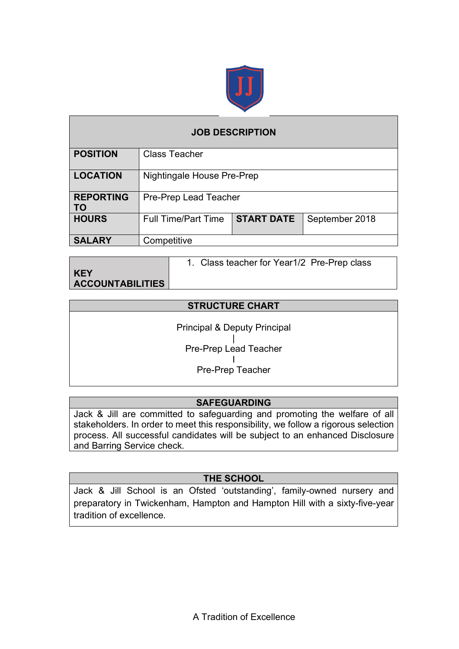

| <b>JOB DESCRIPTION</b>        |                            |                   |                |  |  |  |
|-------------------------------|----------------------------|-------------------|----------------|--|--|--|
| <b>POSITION</b>               | <b>Class Teacher</b>       |                   |                |  |  |  |
| <b>LOCATION</b>               | Nightingale House Pre-Prep |                   |                |  |  |  |
| <b>REPORTING</b><br><b>TO</b> | Pre-Prep Lead Teacher      |                   |                |  |  |  |
| <b>HOURS</b>                  | <b>Full Time/Part Time</b> | <b>START DATE</b> | September 2018 |  |  |  |
| <b>SALARY</b>                 | Competitive                |                   |                |  |  |  |

|                  | 1. Class teacher for Year1/2 Pre-Prep class |
|------------------|---------------------------------------------|
| <b>KEY</b>       |                                             |
| ACCOUNTABILITIES |                                             |

#### **STRUCTURE CHART**

Principal & Deputy Principal | Pre-Prep Lead Teacher I Pre-Prep Teacher

### **SAFEGUARDING**

Jack & Jill are committed to safeguarding and promoting the welfare of all stakeholders. In order to meet this responsibility, we follow a rigorous selection process. All successful candidates will be subject to an enhanced Disclosure and Barring Service check.

### **THE SCHOOL**

Jack & Jill School is an Ofsted 'outstanding', family-owned nursery and preparatory in Twickenham, Hampton and Hampton Hill with a sixty-five-year tradition of excellence.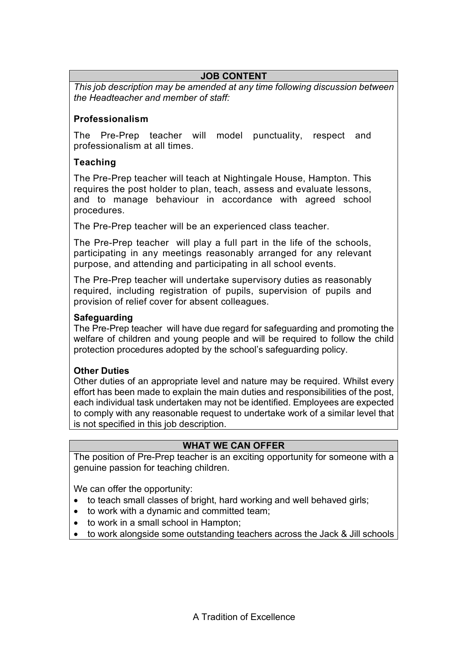## **JOB CONTENT**

*This job description may be amended at any time following discussion between the Headteacher and member of staff:*

### **Professionalism**

The Pre-Prep teacher will model punctuality, respect and professionalism at all times.

### **Teaching**

The Pre-Prep teacher will teach at Nightingale House, Hampton. This requires the post holder to plan, teach, assess and evaluate lessons, and to manage behaviour in accordance with agreed school procedures.

The Pre-Prep teacher will be an experienced class teacher.

The Pre-Prep teacher will play a full part in the life of the schools, participating in any meetings reasonably arranged for any relevant purpose, and attending and participating in all school events.

The Pre-Prep teacher will undertake supervisory duties as reasonably required, including registration of pupils, supervision of pupils and provision of relief cover for absent colleagues.

### **Safeguarding**

The Pre-Prep teacher will have due regard for safeguarding and promoting the welfare of children and young people and will be required to follow the child protection procedures adopted by the school's safeguarding policy.

### **Other Duties**

Other duties of an appropriate level and nature may be required. Whilst every effort has been made to explain the main duties and responsibilities of the post, each individual task undertaken may not be identified. Employees are expected to comply with any reasonable request to undertake work of a similar level that is not specified in this job description.

### **WHAT WE CAN OFFER**

The position of Pre-Prep teacher is an exciting opportunity for someone with a genuine passion for teaching children.

We can offer the opportunity:

- to teach small classes of bright, hard working and well behaved girls;
- to work with a dynamic and committed team;
- to work in a small school in Hampton;
- to work alongside some outstanding teachers across the Jack & Jill schools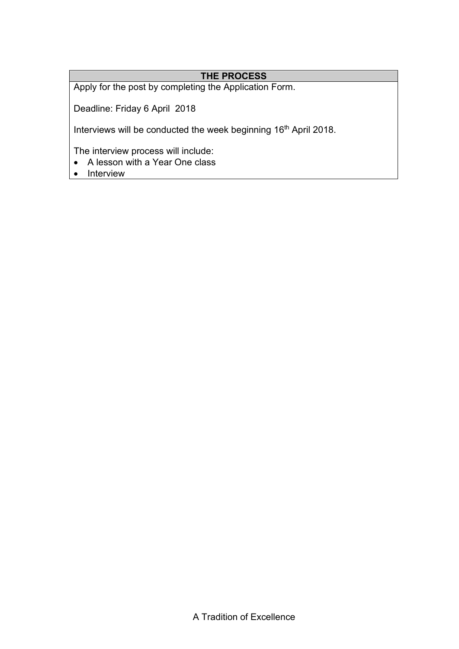# **THE PROCESS**

Apply for the post by completing the Application Form.

Deadline: Friday 6 April 2018

Interviews will be conducted the week beginning 16<sup>th</sup> April 2018.

The interview process will include:

- A lesson with a Year One class
- Interview